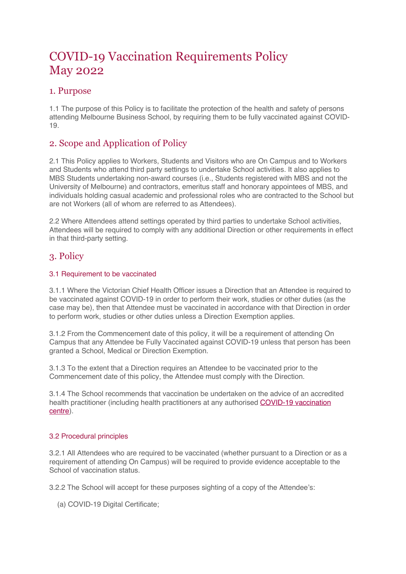# COVID-19 Vaccination Requirements Policy May 2022

# 1. Purpose

1.1 The purpose of this Policy is to facilitate the protection of the health and safety of persons attending Melbourne Business School, by requiring them to be fully vaccinated against COVID-19.

# 2. Scope and Application of Policy

2.1 This Policy applies to Workers, Students and Visitors who are On Campus and to Workers and Students who attend third party settings to undertake School activities. It also applies to MBS Students undertaking non-award courses (i.e., Students registered with MBS and not the University of Melbourne) and contractors, emeritus staff and honorary appointees of MBS, and individuals holding casual academic and professional roles who are contracted to the School but are not Workers (all of whom are referred to as Attendees).

2.2 Where Attendees attend settings operated by third parties to undertake School activities, Attendees will be required to comply with any additional Direction or other requirements in effect in that third-party setting.

# 3. Policy

#### 3.1 Requirement to be vaccinated

3.1.1 Where the Victorian Chief Health Officer issues a Direction that an Attendee is required to be vaccinated against COVID-19 in order to perform their work, studies or other duties (as the case may be), then that Attendee must be vaccinated in accordance with that Direction in order to perform work, studies or other duties unless a Direction Exemption applies.

3.1.2 From the Commencement date of this policy, it will be a requirement of attending On Campus that any Attendee be Fully Vaccinated against COVID-19 unless that person has been granted a School, Medical or Direction Exemption.

3.1.3 To the extent that a Direction requires an Attendee to be vaccinated prior to the Commencement date of this policy, the Attendee must comply with the Direction.

3.1.4 The School recommends that vaccination be undertaken on the advice of an accredited health practitioner (including health practitioners at any authorised COVID-19 vaccination centre).

#### 3.2 Procedural principles

3.2.1 All Attendees who are required to be vaccinated (whether pursuant to a Direction or as a requirement of attending On Campus) will be required to provide evidence acceptable to the School of vaccination status.

3.2.2 The School will accept for these purposes sighting of a copy of the Attendee's:

(a) COVID-19 Digital Certificate;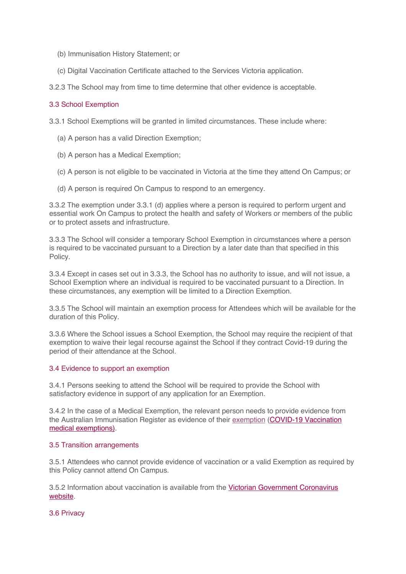- (b) Immunisation History Statement; or
- (c) Digital Vaccination Certificate attached to the Services Victoria application.
- 3.2.3 The School may from time to time determine that other evidence is acceptable.

#### 3.3 School Exemption

3.3.1 School Exemptions will be granted in limited circumstances. These include where:

- (a) A person has a valid Direction Exemption;
- (b) A person has a Medical Exemption;
- (c) A person is not eligible to be vaccinated in Victoria at the time they attend On Campus; or
- (d) A person is required On Campus to respond to an emergency.

3.3.2 The exemption under 3.3.1 (d) applies where a person is required to perform urgent and essential work On Campus to protect the health and safety of Workers or members of the public or to protect assets and infrastructure.

3.3.3 The School will consider a temporary School Exemption in circumstances where a person is required to be vaccinated pursuant to a Direction by a later date than that specified in this Policy.

3.3.4 Except in cases set out in 3.3.3, the School has no authority to issue, and will not issue, a School Exemption where an individual is required to be vaccinated pursuant to a Direction. In these circumstances, any exemption will be limited to a Direction Exemption.

3.3.5 The School will maintain an exemption process for Attendees which will be available for the duration of this Policy.

3.3.6 Where the School issues a School Exemption, the School may require the recipient of that exemption to waive their legal recourse against the School if they contract Covid-19 during the period of their attendance at the School.

#### 3.4 Evidence to support an exemption

3.4.1 Persons seeking to attend the School will be required to provide the School with satisfactory evidence in support of any application for an Exemption.

3.4.2 In the case of a Medical Exemption, the relevant person needs to provide evidence from the Australian Immunisation Register as evidence of their exemption (COVID-19 Vaccination medical exemptions).

#### 3.5 Transition arrangements

3.5.1 Attendees who cannot provide evidence of vaccination or a valid Exemption as required by this Policy cannot attend On Campus.

3.5.2 Information about vaccination is available from the Victorian Government Coronavirus website.

3.6 Privacy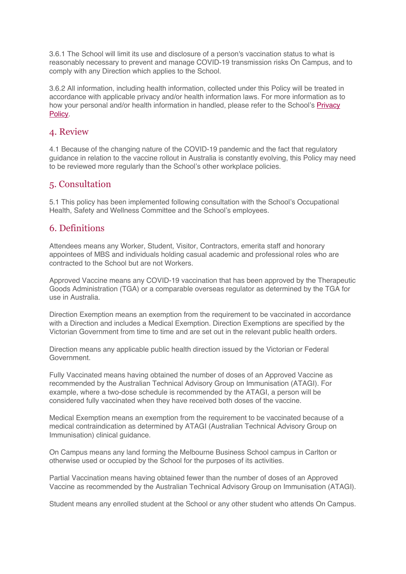3.6.1 The School will limit its use and disclosure of a person's vaccination status to what is reasonably necessary to prevent and manage COVID-19 transmission risks On Campus, and to comply with any Direction which applies to the School.

3.6.2 All information, including health information, collected under this Policy will be treated in accordance with applicable privacy and/or health information laws. For more information as to how your personal and/or health information in handled, please refer to the School's Privacy Policy.

### 4. Review

4.1 Because of the changing nature of the COVID-19 pandemic and the fact that regulatory guidance in relation to the vaccine rollout in Australia is constantly evolving, this Policy may need to be reviewed more regularly than the School's other workplace policies.

# 5. Consultation

5.1 This policy has been implemented following consultation with the School's Occupational Health, Safety and Wellness Committee and the School's employees.

# 6. Definitions

Attendees means any Worker, Student, Visitor, Contractors, emerita staff and honorary appointees of MBS and individuals holding casual academic and professional roles who are contracted to the School but are not Workers.

Approved Vaccine means any COVID-19 vaccination that has been approved by the Therapeutic Goods Administration (TGA) or a comparable overseas regulator as determined by the TGA for use in Australia.

Direction Exemption means an exemption from the requirement to be vaccinated in accordance with a Direction and includes a Medical Exemption. Direction Exemptions are specified by the Victorian Government from time to time and are set out in the relevant public health orders.

Direction means any applicable public health direction issued by the Victorian or Federal Government.

Fully Vaccinated means having obtained the number of doses of an Approved Vaccine as recommended by the Australian Technical Advisory Group on Immunisation (ATAGI). For example, where a two-dose schedule is recommended by the ATAGI, a person will be considered fully vaccinated when they have received both doses of the vaccine.

Medical Exemption means an exemption from the requirement to be vaccinated because of a medical contraindication as determined by ATAGI (Australian Technical Advisory Group on Immunisation) clinical guidance.

On Campus means any land forming the Melbourne Business School campus in Carlton or otherwise used or occupied by the School for the purposes of its activities.

Partial Vaccination means having obtained fewer than the number of doses of an Approved Vaccine as recommended by the Australian Technical Advisory Group on Immunisation (ATAGI).

Student means any enrolled student at the School or any other student who attends On Campus.